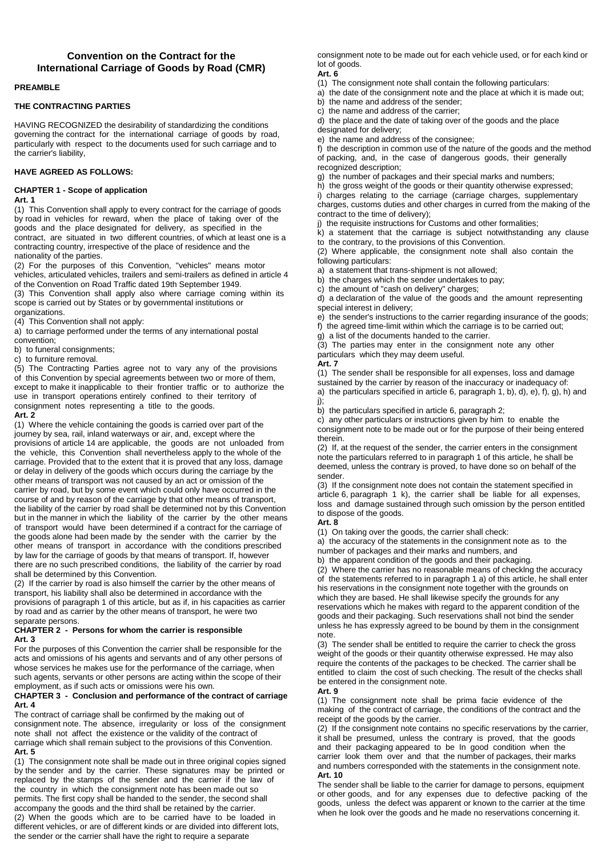# **Convention on the Contract for the International Carriage of Goods by Road (CMR)**

# **PREAMBLE**

# **THE CONTRACTING PARTIES**

HAVING RECOGNIZED the desirability of standardizing the conditions governing the contract for the international carriage of goods by road, particularly with respect to the documents used for such carriage and to the carrier's liability,

# **HAVE AGREED AS FOLLOWS:**

#### **CHAPTER 1 - Scope of application Art. 1**

(1) This Convention shall apply to every contract for the carriage of goods by road in vehicles for reward, when the place of taking over of the goods and the place designated for delivery, as specified in the contract, are situated in two different countries, of which at least one is a contracting country, irrespective of the place of residence and the nationality of the parties.

(2) For the purposes of this Convention, "vehicles" means motor vehicles, articulated vehicles, trailers and semi-trailers as defined in article 4 of the Convention on Road Traffic dated 19th September 1949.

(3) This Convention shall apply also where carriage coming within its scope is carried out by States or by governmental institutions or organizations.

(4) This Convention shall not apply:

a) to carriage performed under the terms of any international postal convention;

b) to funeral consignments;

c) to furniture removal.

(5) The Contracting Parties agree not to vary any of the provisions of this Convention by special agreements between two or more of them, except to make it inapplicable to their frontier traffic or to authorize the use in transport operations entirely confined to their territory of consignment notes representing a title to the goods.

## **Art. 2**

(1) Where the vehicle containing the goods is carried over part of the journey by sea, rail, inland waterways or air, and, except where the provisions of article 14 are applicable, the goods are not unloaded from the vehicle, this Convention shall nevertheless apply to the whole of the carriage. Provided that to the extent that it is proved that any loss, damage or delay in delivery of the goods which occurs during the carriage by the other means of transport was not caused by an act or omission of the carrier by road, but by some event which could only have occurred in the course of and by reason of the carriage by that other means of transport, the liability of the carrier by road shall be determined not by this Convention but in the manner in which the liability of the carrier by the other means of transport would have been determined if a contract for the carriage of the goods alone had been made by the sender with the carrier by the other means of transport in accordance with the conditions prescribed by law for the carriage of goods by that means of transport. If, however there are no such prescribed conditions, the liability of the carrier by road shall be determined by this Convention.

(2) If the carrier by road is also himself the carrier by the other means of transport, his liability shall also be determined in accordance with the provisions of paragraph 1 of this article, but as if, in his capacities as carrier by road and as carrier by the other means of transport, he were two separate persons.

# **CHAPTER 2 - Persons for whom the carrier is responsible Art. 3**

For the purposes of this Convention the carrier shall be responsible for the acts and omissions of his agents and servants and of any other persons of whose services he makes use for the performance of the carriage, when such agents, servants or other persons are acting within the scope of their employment, as if such acts or omissions were his own.

## **CHAPTER 3 - Conclusion and performance of the contract of carriage Art. 4**

The contract of carriage shall be confirmed by the making out of consignment note. The absence, irregularity or loss of the consignment note shall not affect the existence or the validity of the contract of carriage which shall remain subject to the provisions of this Convention. **Art. 5** 

(1) The consignment note shall be made out in three original copies signed by the sender and by the carrier. These signatures may be printed or replaced by the stamps of the sender and the carrier if the law of the country in which the consignment note has been made out so permits. The first copy shall be handed to the sender, the second shall accompany the goods and the third shall be retained by the carrier. (2) When the goods which are to be carried have to be loaded in different vehicles, or are of different kinds or are divided into different lots, the sender or the carrier shall have the right to require a separate

consignment note to be made out for each vehicle used, or for each kind or lot of goods.

**Art. 6** 

- (1) The consignment note shall contain the following particulars:
- a) the date of the consignment note and the place at which it is made out;
- b) the name and address of the sender;
- c) the name and address of the carrier;

d) the place and the date of taking over of the goods and the place designated for delivery;

e) the name and address of the consignee;

f) the description in common use of the nature of the goods and the method of packing, and, in the case of dangerous goods, their generally recognized description;

g) the number of packages and their special marks and numbers;

h) the gross weight of the goods or their quantity otherwise expressed;

i) charges relating to the carriage (carriage charges, supplementary charges, customs duties and other charges in curred from the making of the contract to the time of delivery);

j) the requisite instructions for Customs and other formalities;

k) a statement that the carriage is subject notwithstanding any clause to the contrary, to the provisions of this Convention.

(2) Where applicable, the consignment note shall also contain the following particulars:

a) a statement that trans-shipment is not allowed;

b) the charges which the sender undertakes to pay;

c) the amount of "cash on delivery" charges;

d) a declaration of the value of the goods and the amount representing special interest in delivery;

e) the sender's instructions to the carrier regarding insurance of the goods; f) the agreed time-limit within which the carriage is to be carried out;

g) a list of the documents handed to the carrier.

(3) The parties may enter in the consignment note any other

particulars which they may deem useful.

**Art. 7** 

(1) The sender shaII be responsible for aII expenses, loss and damage sustained by the carrier by reason of the inaccuracy or inadequacy of: a) the particulars specified in article 6, paragraph 1, b), d), e), f), g), h) and j);

b) the particulars specified in article 6, paragraph 2;

c) any other particulars or instructions given by him to enable the consignment note to be made out or for the purpose of their being entered therein.

(2) If, at the request of the sender, the carrier enters in the consignment note the particulars referred to in paragraph 1 of this article, he shall be deemed, unless the contrary is proved, to have done so on behalf of the sender.

(3) If the consignment note does not contain the statement specified in article 6, paragraph 1 k), the carrier shall be liable for all expenses, loss and damage sustained through such omission by the person entitled to dispose of the goods.

# **Art. 8**

(1) On taking over the goods, the carrier shall check:

a) the accuracy of the statements in the consignment note as to the number of packages and their marks and numbers, and

b) the apparent condition of the goods and their packaging.

(2) Where the carrier has no reasonable means of checklng the accuracy of the statements referred to in paragraph 1 a) of this article, he shall enter his reservations in the consignment note together with the grounds on which they are based. He shall likewise specify the grounds for any reservations which he makes with regard to the apparent condition of the goods and their packaging. Such reservations shall not bind the sender unless he has expressly agreed to be bound by them in the consignment note.

(3) The sender shall be entitled to require the carrier to check the gross weight of the goods or their quantity otherwise expressed. He may also require the contents of the packages to be checked. The carrier shall be entitled to claim the cost of such checking. The result of the checks shall be entered in the consignment note.

**Art. 9** 

(1) The consignment note shall be prima facie evidence of the making of the contract of carriage, the conditions of the contract and the receipt of the goods by the carrier.

(2) If the consignment note contains no specific reservations by the carrier, it shall be presumed, unless the contrary is proved, that the goods and their packaging appeared to be In good condition when the carrier look them over and that the number of packages, their marks and numbers corresponded with the statements in the consignment note. **Art. 10** 

The sender shall be liable to the carrier for damage to persons, equipment or other goods, and for any expenses due to defective packing of the goods, unless the defect was apparent or known to the carrier at the time when he look over the goods and he made no reservations concerning it.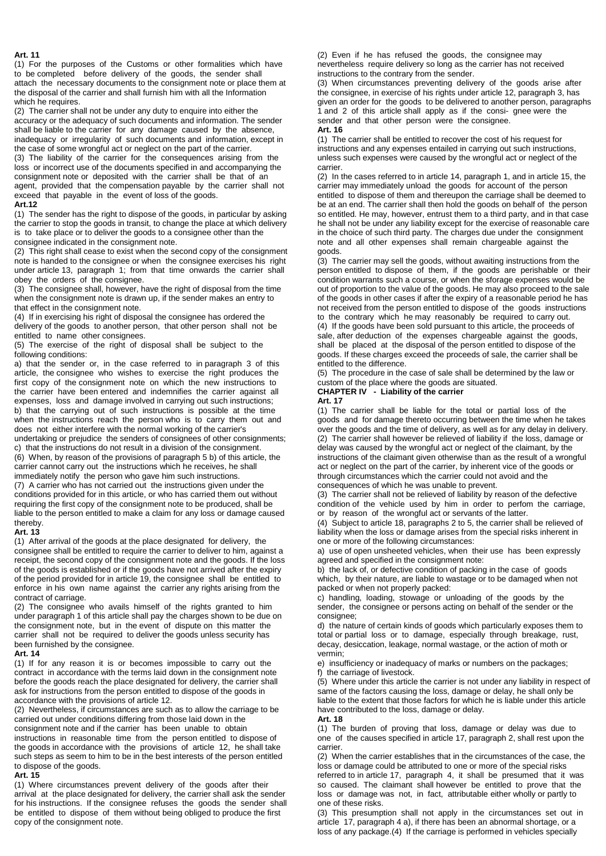# **Art. 11**

(1) For the purposes of the Customs or other formalities which have to be completed before delivery of the goods, the sender shall attach the necessary documents to the consignment note or place them at the disposal of the carrier and shall furnish him with all the Information which he requires.

(2) The carrier shall not be under any duty to enquire into either the accuracy or the adequacy of such documents and information. The sender shall be liable to the carrier for any damage caused by the absence, inadequacy or irregularity of such documents and information, except in the case of some wrongful act or neglect on the part of the carrier.

(3) The liability of the carrier for the consequences arising from the loss or incorrect use of the documents specified in and accompanying the consignment note or deposited with the carrier shall be that of an agent, provided that the compensation payable by the carrier shall not exceed that payable in the event of loss of the goods.

# **Art.12**

(1) The sender has the right to dispose of the goods, in particular by asking the carrier to stop the goods in transit, to change the place at which delivery is to take place or to deliver the goods to a consignee other than the consignee indicated in the consignment note.

(2) This right shall cease to exist when the second copy of the consignment note is handed to the consignee or when the consignee exercises his right under article 13, paragraph 1; from that time onwards the carrier shall obey the orders of the consignee.

(3) The consignee shall, however, have the right of disposal from the time when the consignment note is drawn up, if the sender makes an entry to that effect in the consignment note.

(4) If in exercising his right of disposal the consignee has ordered the delivery of the goods to another person, that other person shall not be entitled to name other consignees.

(5) The exercise of the right of disposal shall be subject to the following conditions:

a) that the sender or, in the case referred to in paragraph 3 of this article, the consignee who wishes to exercise the right produces the first copy of the consignment note on which the new instructions to the carrier have been entered and indemnifies the carrier against all expenses, loss and damage involved in carrying out such instructions; b) that the carrying out of such instructions is possible at the time when the instructions reach the person who is to carry them out and does not either interfere with the normal working of the carrier's undertaking or prejudice the senders of consignees of other consignments;

c) that the instructions do not result in a division of the consignment. (6) When, by reason of the provisions of paragraph 5 b) of this article, the carrier cannot carry out the instructions which he receives, he shall immediately notify the person who gave him such instructions.

(7) A carrier who has not carried out the instructions given under the conditions provided for in this article, or who has carried them out without requiring the first copy of the consignment note to be produced, shall be liable to the person entitled to make a claim for any loss or damage caused thereby.

# **Art. 13**

(1) After arrival of the goods at the place designated for delivery, the consignee shall be entitled to require the carrier to deliver to him, against a receipt, the second copy of the consignment note and the goods. If the loss of the goods is established or if the goods have not arrived after the expiry of the period provided for in article 19, the consignee shall be entitled to enforce in his own name against the carrier any rights arising from the contract of carriage.

(2) The consignee who avails himself of the rights granted to him under paragraph 1 of this article shall pay the charges shown to be due on the consignment note, but in the event of dispute on this matter the carrier shall not be required to deliver the goods unless security has been furnished by the consignee.

# **Art. 14**

(1) If for any reason it is or becomes impossible to carry out the contract in accordance with the terms laid down in the consignment note before the goods reach the place designated for delivery, the carrier shall ask for instructions from the person entitled to dispose of the goods in accordance with the provisions of article 12.

(2) Nevertheless, if circumstances are such as to allow the carriage to be carried out under conditions differing from those laid down in the consignment note and if the carrier has been unable to obtain instructions in reasonable time from the person entitled to dispose of the goods in accordance with the provisions of article 12, he shall take such steps as seem to him to be in the best interests of the person entitled to dispose of the goods.

#### **Art. 15**

(1) Where circumstances prevent delivery of the goods after their arrival at the place designated for delivery, the carrier shall ask the sender for his instructions. If the consignee refuses the goods the sender shall be entitled to dispose of them without being obliged to produce the first copy of the consignment note.

(2) Even if he has refused the goods, the consignee may nevertheless require delivery so long as the carrier has not received instructions to the contrary from the sender.

(3) When circumstances preventing delivery of the goods arise after the consignee, in exercise of his rights under article 12, paragraph 3, has given an order for the goods to be delivered to another person, paragraphs 1 and 2 of this article shall apply as if the consi- gnee were the sender and that other person were the consignee. **Art. 16** 

(1) The carrier shall be entitled to recover the cost of his request for instructions and any expenses entailed in carrying out such instructions, unless such expenses were caused by the wrongful act or neglect of the carrier.

(2) In the cases referred to in article 14, paragraph 1, and in article 15, the carrier may immediately unload the goods for account of the person entitled to dispose of them and thereupon the carriage shall be deemed to be at an end. The carrier shall then hold the goods on behalf of the person so entitled. He may, however, entrust them to a third party, and in that case he shall not be under any liability except for the exercise of reasonable care in the choice of such third party. The charges due under the consignment note and all other expenses shall remain chargeable against the goods.

(3) The carrier may sell the goods, without awaiting instructions from the person entitled to dispose of them, if the goods are perishable or their condition warrants such a course, or when the sforage expenses would be out of proportion to the value of the goods. He may also proceed to the sale of the goods in other cases if after the expiry of a reasonable period he has not received from the person entitled to dispose of the goods instructions to the contrary which he may reasonably be required to carry out. (4) If the goods have been sold pursuant to this article, the proceeds of sale, after deduction of the expenses chargeable against the goods, shall be placed at the disposal of the person entitled to dispose of the goods. If these charges exceed the proceeds of sale, the carrier shall be entitled to the difference.

(5) The procedure in the case of sale shall be determined by the law or custom of the place where the goods are situated. **CHAPTER IV - Liability of the carrier** 

**Art. 17** 

(1) The carrier shall be liable for the total or partial loss of the goods and for damage thereto occurring between the time when he takes over the goods and the time of delivery, as well as for any delay in delivery. (2) The carrier shall however be relieved of liability if the loss, damage or delay was caused by the wrongful act or neglect of the claimant, by the instructions of the claimant given otherwise than as the result of a wrongful act or neglect on the part of the carrier, by inherent vice of the goods or through circumstances which the carrier could not avoid and the consequences of which he was unable to prevent.

(3) The carrier shall not be relieved of liability by reason of the defective condition of the vehicle used by him in order to perfom the carriage, or by reason of the wrongful act or servants of the latter.

(4) Subject to article 18, paragraphs 2 to 5, the carrier shall be relieved of liability when the loss or damage arises from the special risks inherent in one or more of the following circumstances:

a) use of open unsheeted vehicles, when their use has been expressly agreed and specified in the consignment note:

b) the lack of, or defective condition of packing in the case of goods which, by their nature, are liable to wastage or to be damaged when not packed or when not properly packed:

c) handling, loading, stowage or unloading of the goods by the sender, the consignee or persons acting on behalf of the sender or the consignee;

d) the nature of certain kinds of goods which particularly exposes them to total or partial loss or to damage, especially through breakage, rust, decay, desiccation, leakage, normal wastage, or the action of moth or vermin;

e) insufficiency or inadequacy of marks or numbers on the packages; f) the carriage of livestock.

(5) Where under this article the carrier is not under any liability in respect of same of the factors causing the loss, damage or delay, he shall only be liable to the extent that those facfors for which he is liable under this article have contributed to the loss, damage or delay.

**Art. 18** 

(1) The burden of proving that loss, damage or delay was due to one of the causes specified in article 17, paragraph 2, shall rest upon the carrier.

(2) When the carrier establishes that in the circumstances of the case, the loss or damage could be attributed to one or more of the special risks referred to in article 17, paragraph 4, it shall be presumed that it was so caused. The claimant shall however be entitled to prove that the loss or damage was not, in fact, attributable either wholly or partly to one of these risks.

(3) This presumption shall not apply in the circumstances set out in article 17, paragraph 4 a), if there has been an abnormal shortage, or a loss of any package.(4) If the carriage is performed in vehicles specially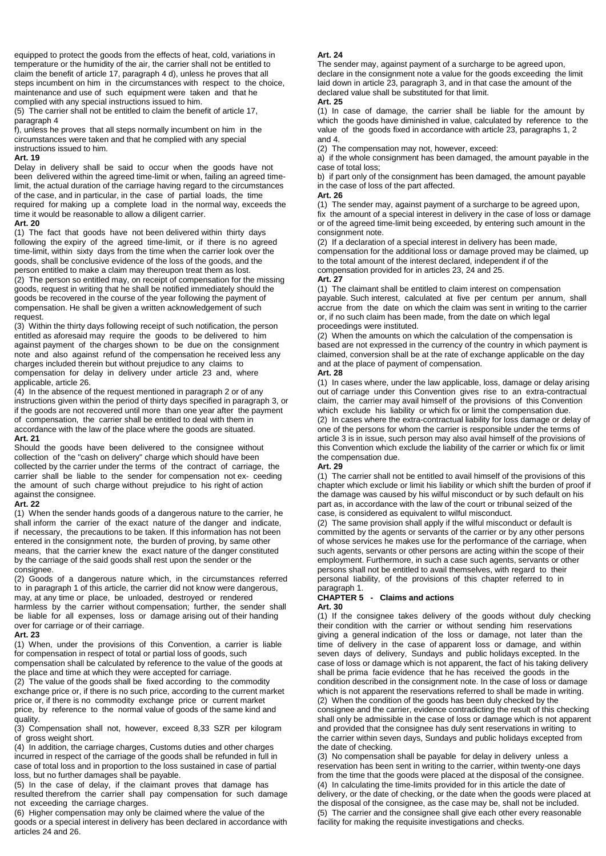equipped to protect the goods from the effects of heat, cold, variations in temperature or the humidity of the air, the carrier shall not be entitled to claim the benefit of article 17, paragraph 4 d), unless he proves that all steps incumbent on him in the circumstances with respect to the choice, maintenance and use of such equipment were taken and that he complied with any special instructions issued to him.

(5) The carrier shall not be entitled to claim the benefit of article 17, paragraph 4

f), unless he proves that all steps normally incumbent on him in the circumstances were taken and that he complied with any special instructions issued to him.

#### **Art. 19**

Delay in delivery shall be said to occur when the goods have not been delivered within the agreed time-limit or when, failing an agreed timelimit, the actual duration of the carriage having regard to the circumstances of the case, and in particular, in the case of partial loads, the time required for making up a complete load in the normal way, exceeds the time it would be reasonable to allow a diligent carrier.

#### **Art. 20**

(1) The fact that goods have not been delivered within thirty days following the expiry of the agreed time-limit, or if there is no agreed time-limit, within sixty days from the time when the carrier look over the goods, shall be conclusive evidence of the loss of the goods, and the person entitled to make a claim may thereupon treat them as lost. (2) The person so entitled may, on receipt of compensation for the missing

goods, request in writing that he shall be notified immediately should the goods be recovered in the course of the year following the payment of compensation. He shall be given a written acknowledgement of such request.

(3) Within the thirty days following receipt of such notification, the person entitled as aforesaid may require the goods to be delivered to him against payment of the charges shown to be due on the consignment note and also against refund of the compensation he received less any charges included therein but without prejudice to any claims to compensation for delay in delivery under article 23 and, where applicable, article 26.

(4) In the absence of the request mentioned in paragraph 2 or of any instructions given within the period of thirty days specified in paragraph 3, or if the goods are not recovered until more than one year after the payment of compensation, the carrier shall be entitled to deal with them in accordance with the law of the place where the goods are situated.

# **Art. 21**

Should the goods have been delivered to the consignee without collection of the "cash on delivery" charge which should have been collected by the carrier under the terms of the contract of carriage, the carrier shall be liable to the sender for compensation not ex- ceeding the amount of such charge without prejudice to his right of action against the consignee.

#### **Art. 22**

(1) When the sender hands goods of a dangerous nature to the carrier, he shall inform the carrier of the exact nature of the danger and indicate, if necessary, the precautions to be taken. If this information has not been entered in the consignment note, the burden of proving, by same other means, that the carrier knew the exact nature of the danger constituted by the carriage of the said goods shall rest upon the sender or the consignee.

(2) Goods of a dangerous nature which, in the circumstances referred to in paragraph 1 of this article, the carrier did not know were dangerous, may, at any time or place, be unloaded, destroyed or rendered harmless by the carrier without compensation; further, the sender shall be liable for all expenses, loss or damage arising out of their handing over for carriage or of their carriage.

#### **Art. 23**

(1) When, under the provisions of this Convention, a carrier is liable for compensation in respect of total or partial loss of goods, such compensation shall be calculated by reference to the value of the goods at the place and time at which they were accepted for carriage.

(2) The value of the goods shall be fixed according to the commodity exchange price or, if there is no such price, according to the current market price or, if there is no commodity exchange price or current market price, by reference to the normal value of goods of the same kind and quality.

(3) Compensation shall not, however, exceed 8,33 SZR per kilogram of gross weight short.

(4) In addition, the carriage charges, Customs duties and other charges incurred in respect of the carriage of the goods shall be refunded in full in case of total loss and in proportion to the loss sustained in case of partial loss, but no further damages shall be payable.

(5) In the case of delay, if the claimant proves that damage has resulted therefrom the carrier shall pay compensation for such damage not exceeding the carriage charges.

(6) Higher compensation may only be claimed where the value of the goods or a special interest in delivery has been declared in accordance with articles 24 and 26.

#### **Art. 24**

The sender may, against payment of a surcharge to be agreed upon, declare in the consignment note a value for the goods exceeding the limit laid down in article 23, paragraph 3, and in that case the amount of the declared value shall be substituted for that limit. **Art. 25** 

(1) In case of damage, the carrier shall be liable for the amount by which the goods have diminished in value, calculated by reference to the value of the goods fixed in accordance with article 23, paragraphs 1, 2 and 4.

(2) The compensation may not, however, exceed:

a) if the whole consignment has been damaged, the amount payable in the case of total loss;

b) if part only of the consignment has been damaged, the amount payable in the case of loss of the part affected.

**Art. 26** 

(1) The sender may, against payment of a surcharge to be agreed upon, fix the amount of a special interest in delivery in the case of loss or damage or of the agreed time-limit being exceeded, by entering such amount in the consignment note.

(2) If a declaration of a special interest in delivery has been made, compensation for the additional loss or damage proved may be claimed, up to the total amount of the interest declared, independent if of the compensation provided for in articles 23, 24 and 25.

**Art. 27** 

(1) The claimant shall be entitled to claim interest on compensation payable. Such interest, calculated at five per centum per annum, shall accrue from the date on which the claim was sent in writing to the carrier or, if no such claim has been made, from the date on which legal proceedings were instituted.

(2) When the amounts on which the calculation of the compensation is based are not expressed in the currency of the country in which payment is claimed, conversion shall be at the rate of exchange applicable on the day and at the place of payment of compensation. **Art. 28** 

(1) In cases where, under the law applicable, loss, damage or delay arising out of carriage under this Convention gives rise to an extra-contractual claim, the carrier may avail himself of the provisions of this Convention which exclude his liability or which fix or limit the compensation due. (2) In cases where the extra-contractual liability for loss damage or delay of one of the persons for whom the carrier is responsible under the terms of article 3 is in issue, such person may also avail himself of the provisions of this Convention which exclude the liability of the carrier or which fix or limit the compensation due.

# **Art. 29**

(1) The carrier shall not be entitled to avail himself of the provisions of this chapter which exclude or limit his liability or which shift the burden of proof if the damage was caused by his wilful misconduct or by such default on his part as, in accordance with the law of the court or tribunal seized of the case, is considered as equivalent to wilful misconduct.

(2) The same provision shall apply if the wilful misconduct or default is committed by the agents or servants of the carrier or by any other persons of whose services he makes use for the performance of the carriage, when such agents, servants or other persons are acting within the scope of their employment. Furthermore, in such a case such agents, servants or other persons shall not be entitled to avail themselves, with regard to their personal Iiability, of the provisions of this chapter referred to in paragraph 1.

# **CHAPTER 5 - Claims and actions Art. 30**

(1) If the consignee takes delivery of the goods without duly checking their condition with the carrier or without sending him reservations giving a general indication of the loss or damage, not later than the time of delivery in the case of apparent loss or damage, and within seven days of delivery. Sundays and public holidays excepted. In the case of loss or damage which is not apparent, the fact of his taking delivery shall be prima facie evidence that he has received the goods in the condition described in the consignment note. In the case of loss or damage which is not apparent the reservations referred to shall be made in writing. (2) When the condition of the goods has been duly checked by the consignee and the carrier, evidence contradicting the result of this checking shall only be admissible in the case of loss or damage which is not apparent and provided that the consignee has duly sent reservations in writing to the carrier within seven days, Sundays and public holidays excepted from the date of checking.

(3) No compensation shall be payable for delay in delivery unless a reservation has been sent in writing to the carrier, within twenty-one days from the time that the goods were placed at the disposal of the consignee. (4) In calculating the time-limits provided for in this article the date of delivery, or the date of checking, or the date when the goods were placed at the disposal of the consignee, as the case may be, shall not be included. (5) The carrier and the consignee shall give each other every reasonable facility for making the requisite investigations and checks.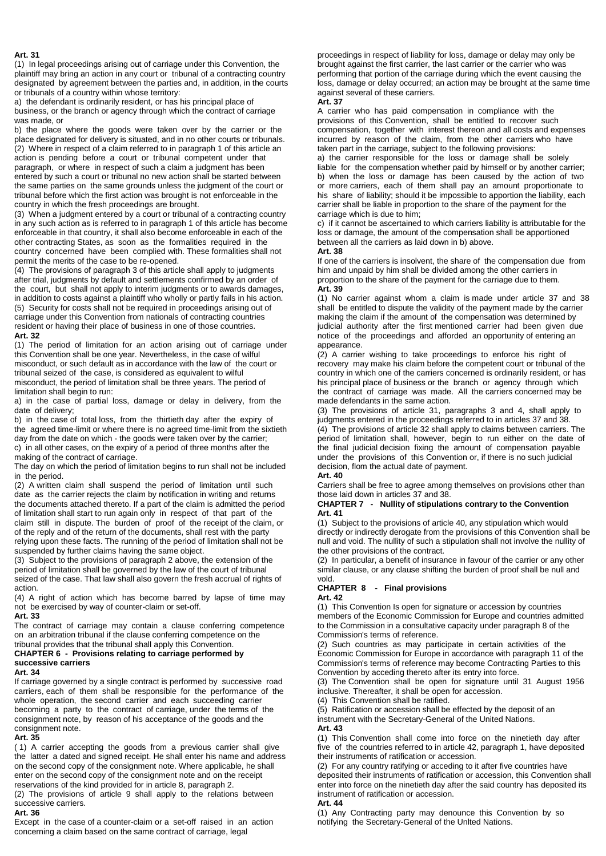# **Art. 31**

(1) In legal proceedings arising out of carriage under this Convention, the plaintiff may bring an action in any court or tribunal of a contracting country designated by agreement between the parties and, in addition, in the courts or tribunals of a country within whose territory:

a) the defendant is ordinarily resident, or has his principal place of business, or the branch or agency through which the contract of carriage was made, or

b) the place where the goods were taken over by the carrier or the place designated for delivery is situated, and in no other courts or tribunals. (2) Where in respect of a claim referred to in paragraph 1 of this article an action is pending before a court or tribunal competent under that paragraph, or where in respect of such a claim a judgment has been entered by such a court or tribunal no new action shall be started between the same parties on the same grounds unless the judgment of the court or tribunal before which the first action was brought is not enforceable in the country in which the fresh proceedings are brought.

(3) When a judgment entered by a court or tribunal of a contracting country in any such action as is referred to in paragraph 1 of thls article has become enforceable in that country, it shall also become enforceable in each of the other contracting States, as soon as the formalities required in the country concerned have been complied with. These formalities shall not permit the merits of the case to be re-opened.

(4) The provisions of paragraph 3 of this article shall apply to judgments after trial, judgments by default and settlements confirmed by an order of the court, but shall not apply to interim judgments or to awards damages, in addition to costs against a plaintiff who wholly or partly fails in his action. (5) Security for costs shall not be required in proceedings arising out of carriage under this Convention from nationals of contracting countries resident or having their place of business in one of those countries. **Art. 32** 

(1) The period of limitation for an action arising out of carriage under this Convention shall be one year. Nevertheless, in the case of wilful misconduct, or such default as in accordance with the law of the court or tribunal seized of the case, is considered as equivalent to wilful misconduct, the period of limitation shall be three years. The period of limitation shall begin to run:

a) in the case of partial loss, damage or delay in delivery, from the date of delivery;

b) in the case of total loss, from the thirtieth day after the expiry of the agreed time-limit or where there is no agreed time-limit from the sixtieth day from the date on which - the goods were taken over by the carrier; c) in all other cases, on the expiry of a period of three months after the making of the contract of carriage.

The day on which the period of limitation begins to run shall not be included in the period.

(2) A written claim shall suspend the period of limitation until such date as the carrier rejects the claim by notification in writing and returns the documents attached thereto. If a part of the claim is admitted the period of limitation shall start to run again only in respect of that part of the claim still in dispute. The burden of proof of the receipt of the claim, or of the reply and of the return of the documents, shall rest with the party relying upon these facts. The running of the period of limitation shall not be suspended by further claims having the same object.

(3) Subject to the provisions of paragraph 2 above, the extension of the period of limitation shall be governed by the law of the court of tribunal seized of the case. That law shall also govern the fresh accrual of rights of action.

(4) A right of action which has become barred by lapse of time may not be exercised by way of counter-claim or set-off.

# **Art. 33**

The contract of carriage may contain a clause conferring competence on an arbitration tribunal if the clause conferring competence on the tribunal provides that the tribunal shall apply this Convention.

# **CHAPTER 6 - Provisions relating to carriage performed by successive carriers**

#### **Art. 34**

If carriage governed by a single contract is performed by successive road carriers, each of them shall be responsible for the performance of the whole operation, the second carrier and each succeeding carrier becoming a party to the contract of carriage, under the terms of the consignment note, by reason of his acceptance of the goods and the consignment note.

# **Art. 35**

( 1) A carrier accepting the goods from a previous carrier shall give the latter a dated and signed receipt. He shall enter his name and address on the second copy of the consignment note. Where applicable, he shall enter on the second copy of the consignment note and on the receipt reservations of the kind provided for in article 8, paragraph 2. (2) The provisions of article 9 shall apply to the relations between successive carriers.

## **Art. 36**

Except in the case of a counter-claim or a set-off raised in an action concerning a claim based on the same contract of carriage, legal

proceedings in respect of liability for loss, damage or delay may only be brought against the first carrier, the last carrier or the carrier who was performing that portion of the carriage during which the event causing the loss, damage or delay occurred; an action may be brought at the same time against several of these carriers.

**Art. 37** 

A carrier who has paid compensation in compliance with the provisions of this Convention, shall be entitled to recover such compensation, together with interest thereon and all costs and expenses incurred by reason of the claim, from the other carriers who have taken part in the carriage, subject to the following provisions:

a) the carrier responsible for the loss or damage shall be solely liable for the compensation whether paid by himself or by another carrier; b) when the loss or damage has been caused by the action of two or more carriers, each of them shall pay an amount proportionate to his share of liability; should it be impossible to apportion the liability, each carrier shall be liable in proportion to the share of the payment for the carriage which is due to him;

c) if it cannot be ascertained to which carriers liability is attributable for the loss or damage, the amount of the compensation shall be apportioned between all the carriers as laid down in b) above.

#### **Art. 38**

If one of the carriers is insolvent, the share of the compensation due from him and unpaid by him shall be divided among the other carriers in proportion to the share of the payment for the carriage due to them. **Art. 39** 

(1) No carrier against whom a claim is made under article 37 and 38 shall be entitled to dispute the validity of the payment made by the carrier making the claim if the amount of the compensation was determined by judicial authority after the first mentioned carrier had been given due notice of the proceedings and afforded an opportunity of entering an appearance.

(2) A carrier wishing to take proceedings to enforce his right of recovery may make his claim before the competent court or tribunal of the country in which one of the carriers concerned is ordinarily resident, or has his principal place of business or the branch or agency through which the contract of carriage was made. All the carriers concerned may be made defendants in the same action.

(3) The provisions of article 31, paragraphs 3 and 4, shall apply to judgments entered in the proceedings referred to in articles 37 and 38. (4) The provisions of article 32 shall apply to claims between carriers. The period of limitation shall, however, begin to run either on the date of the final judicial decision fixing the amount of compensation payable under the provisions of this Convention or, if there is no such judicial decision, flom the actual date of payment.

# **Art. 40**

Carriers shall be free to agree among themselves on provisions other than those laid down in articles 37 and 38.

## **CHAPTER 7 - Nullity of stipulations contrary to the Convention Art. 41**

(1) Subject to the provisions of article 40, any stipulation which would directly or indirectly derogate from the provisions of this Convention shall be null and void. The nullity of such a stipulation shall not involve the nullity of the other provisions of the contract.

(2) In particular, a benefit of insurance in favour of the carrier or any other similar clause, or any clause shifting the burden of proof shall be null and vold.

# **CHAPTER 8 - Final provisions Art. 42**

(1) This Convention Is open for signature or accession by countries members of the Economic Commission for Europe and countries admitted to the Commission in a consultative capacity under paragraph 8 of the Commission's terms of reference.

(2) Such countries as may participate in certain activities of the Economic Commission for Europe in accordance with paragraph 11 of the Commission's terms of reference may become Contracting Parties to this Convention by acceding thereto after its entry into force.

(3) The Convention shall be open for signature until 31 August 1956 inclusive. Thereafter, it shall be open for accession.

(4) This Convention shall be ratified.

(5) Ratification or accession shall be effected by the deposit of an instrument with the Secretary-General of the United Nations.

**Art. 43** 

(1) This Convention shall come into force on the ninetieth day after five of the countries referred to in article 42, paragraph 1, have deposited their instruments of ratification or accession.

(2) For any country ratifying or acceding to it after five countries have deposited their instruments of ratification or accession, this Convention shall enter into force on the ninetieth day after the said country has deposited its instrument of ratification or accession. **Art. 44** 

(1) Any Contracting party may denounce this Convention by so notifying the Secretary-General of the Unlted Nations.